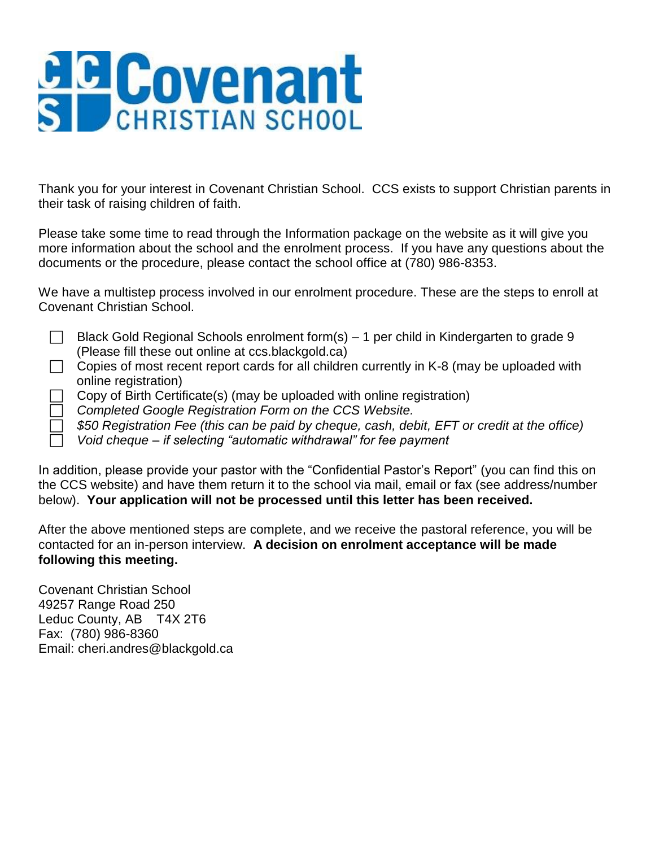# **G C Covenant**

Thank you for your interest in Covenant Christian School. CCS exists to support Christian parents in their task of raising children of faith.

Please take some time to read through the Information package on the website as it will give you more information about the school and the enrolment process. If you have any questions about the documents or the procedure, please contact the school office at (780) 986-8353.

| We have a multistep process involved in our enrolment procedure. These are the steps to enroll at |  |
|---------------------------------------------------------------------------------------------------|--|
| Covenant Christian School.                                                                        |  |

Black Gold Regional Schools enrolment form(s) – 1 per child in Kindergarten to grade 9 (Please fill these out online at ccs.blackgold.ca)

 $\Box$  Copies of most recent report cards for all children currently in K-8 (may be uploaded with online registration)

Copy of Birth Certificate(s) (may be uploaded with online registration)

*Completed Google Registration Form on the CCS Website.*

*\$50 Registration Fee (this can be paid by cheque, cash, debit, EFT or credit at the office)*

*Void cheque – if selecting "automatic withdrawal" for fee payment*

In addition, please provide your pastor with the "Confidential Pastor's Report" (you can find this on the CCS website) and have them return it to the school via mail, email or fax (see address/number below). **Your application will not be processed until this letter has been received.**

After the above mentioned steps are complete, and we receive the pastoral reference, you will be contacted for an in-person interview. **A decision on enrolment acceptance will be made following this meeting.**

Covenant Christian School 49257 Range Road 250 Leduc County, AB T4X 2T6 Fax: (780) 986-8360 Email: cheri.andres@blackgold.ca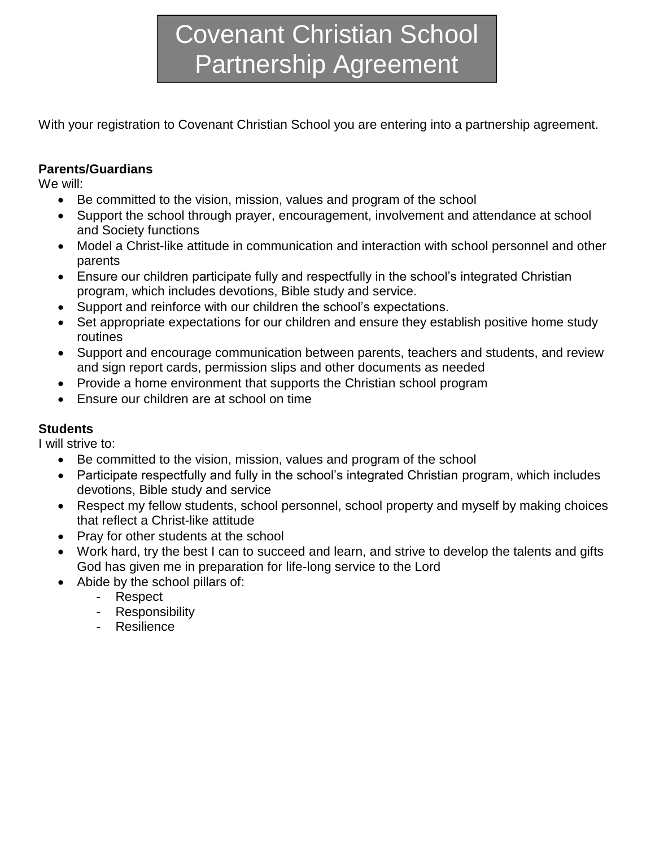## Covenant Christian School Partnership Agreement

With your registration to Covenant Christian School you are entering into a partnership agreement.

#### **Parents/Guardians**

We will:

- Be committed to the vision, mission, values and program of the school
- Support the school through prayer, encouragement, involvement and attendance at school and Society functions
- Model a Christ-like attitude in communication and interaction with school personnel and other parents
- Ensure our children participate fully and respectfully in the school's integrated Christian program, which includes devotions, Bible study and service.
- Support and reinforce with our children the school's expectations.
- Set appropriate expectations for our children and ensure they establish positive home study routines
- Support and encourage communication between parents, teachers and students, and review and sign report cards, permission slips and other documents as needed
- Provide a home environment that supports the Christian school program
- Ensure our children are at school on time

#### **Students**

I will strive to:

- Be committed to the vision, mission, values and program of the school
- Participate respectfully and fully in the school's integrated Christian program, which includes devotions, Bible study and service
- Respect my fellow students, school personnel, school property and myself by making choices that reflect a Christ-like attitude
- Pray for other students at the school
- Work hard, try the best I can to succeed and learn, and strive to develop the talents and gifts God has given me in preparation for life-long service to the Lord
- Abide by the school pillars of:
	- Respect
	- Responsibility
	- Resilience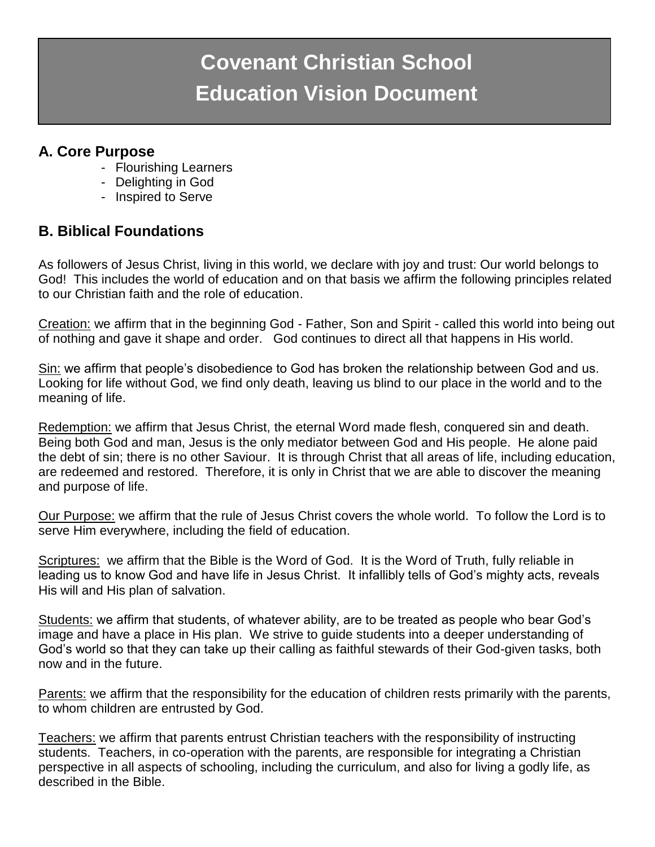### **Covenant Christian School Education Vision Document**

#### **A. Core Purpose**

- Flourishing Learners
- Delighting in God
- Inspired to Serve

#### **B. Biblical Foundations**

As followers of Jesus Christ, living in this world, we declare with joy and trust: Our world belongs to God! This includes the world of education and on that basis we affirm the following principles related to our Christian faith and the role of education.

Creation: we affirm that in the beginning God - Father, Son and Spirit - called this world into being out of nothing and gave it shape and order. God continues to direct all that happens in His world.

Sin: we affirm that people's disobedience to God has broken the relationship between God and us. Looking for life without God, we find only death, leaving us blind to our place in the world and to the meaning of life.

Redemption: we affirm that Jesus Christ, the eternal Word made flesh, conquered sin and death. Being both God and man, Jesus is the only mediator between God and His people. He alone paid the debt of sin; there is no other Saviour. It is through Christ that all areas of life, including education, are redeemed and restored. Therefore, it is only in Christ that we are able to discover the meaning and purpose of life.

Our Purpose: we affirm that the rule of Jesus Christ covers the whole world. To follow the Lord is to serve Him everywhere, including the field of education.

Scriptures: we affirm that the Bible is the Word of God. It is the Word of Truth, fully reliable in leading us to know God and have life in Jesus Christ. It infallibly tells of God's mighty acts, reveals His will and His plan of salvation.

Students: we affirm that students, of whatever ability, are to be treated as people who bear God's image and have a place in His plan. We strive to guide students into a deeper understanding of God's world so that they can take up their calling as faithful stewards of their God-given tasks, both now and in the future.

Parents: we affirm that the responsibility for the education of children rests primarily with the parents, to whom children are entrusted by God.

Teachers: we affirm that parents entrust Christian teachers with the responsibility of instructing students. Teachers, in co-operation with the parents, are responsible for integrating a Christian perspective in all aspects of schooling, including the curriculum, and also for living a godly life, as described in the Bible.